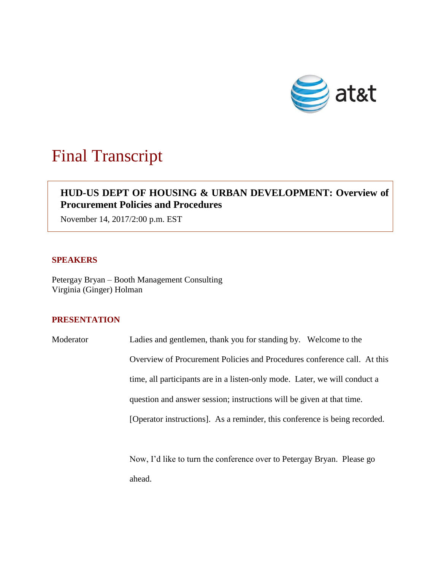

# Final Transcript

# **HUD-US DEPT OF HOUSING & URBAN DEVELOPMENT: Overview of Procurement Policies and Procedures**

November 14, 2017/2:00 p.m. EST

### **SPEAKERS**

Petergay Bryan – Booth Management Consulting Virginia (Ginger) Holman

## **PRESENTATION**

Moderator Ladies and gentlemen, thank you for standing by. Welcome to the Overview of Procurement Policies and Procedures conference call. At this time, all participants are in a listen-only mode. Later, we will conduct a question and answer session; instructions will be given at that time. [Operator instructions]. As a reminder, this conference is being recorded.

> Now, I'd like to turn the conference over to Petergay Bryan. Please go ahead.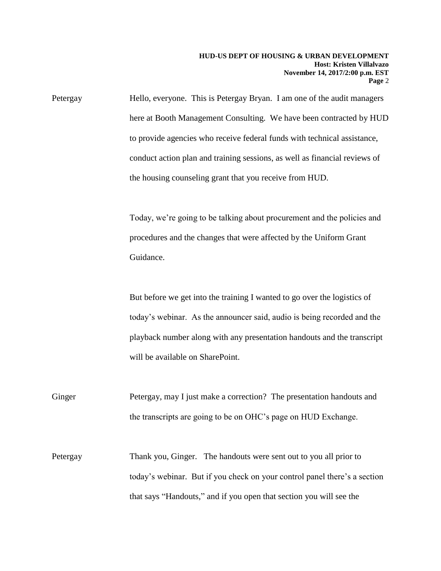Petergay Hello, everyone. This is Petergay Bryan. I am one of the audit managers here at Booth Management Consulting. We have been contracted by HUD to provide agencies who receive federal funds with technical assistance, conduct action plan and training sessions, as well as financial reviews of the housing counseling grant that you receive from HUD.

> Today, we're going to be talking about procurement and the policies and procedures and the changes that were affected by the Uniform Grant Guidance.

> But before we get into the training I wanted to go over the logistics of today's webinar. As the announcer said, audio is being recorded and the playback number along with any presentation handouts and the transcript will be available on SharePoint.

Ginger Petergay, may I just make a correction? The presentation handouts and the transcripts are going to be on OHC's page on HUD Exchange.

Petergay Thank you, Ginger. The handouts were sent out to you all prior to today's webinar. But if you check on your control panel there's a section that says "Handouts," and if you open that section you will see the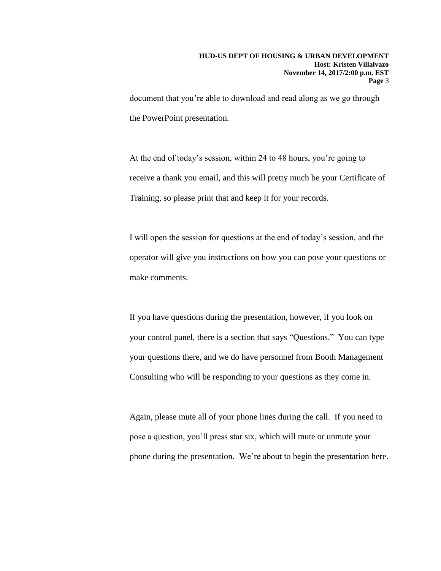document that you're able to download and read along as we go through the PowerPoint presentation.

At the end of today's session, within 24 to 48 hours, you're going to receive a thank you email, and this will pretty much be your Certificate of Training, so please print that and keep it for your records.

I will open the session for questions at the end of today's session, and the operator will give you instructions on how you can pose your questions or make comments.

If you have questions during the presentation, however, if you look on your control panel, there is a section that says "Questions." You can type your questions there, and we do have personnel from Booth Management Consulting who will be responding to your questions as they come in.

Again, please mute all of your phone lines during the call. If you need to pose a question, you'll press star six, which will mute or unmute your phone during the presentation. We're about to begin the presentation here.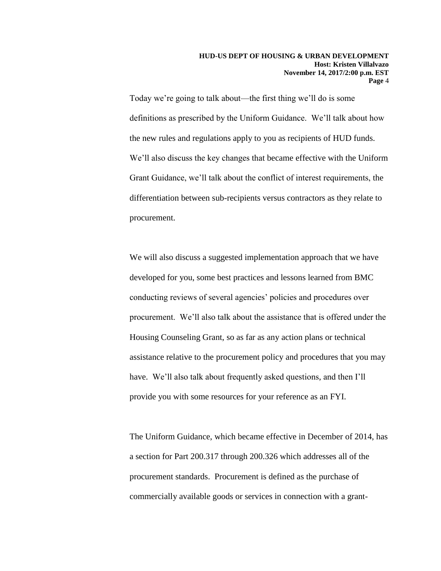Today we're going to talk about—the first thing we'll do is some definitions as prescribed by the Uniform Guidance. We'll talk about how the new rules and regulations apply to you as recipients of HUD funds. We'll also discuss the key changes that became effective with the Uniform Grant Guidance, we'll talk about the conflict of interest requirements, the differentiation between sub-recipients versus contractors as they relate to procurement.

We will also discuss a suggested implementation approach that we have developed for you, some best practices and lessons learned from BMC conducting reviews of several agencies' policies and procedures over procurement. We'll also talk about the assistance that is offered under the Housing Counseling Grant, so as far as any action plans or technical assistance relative to the procurement policy and procedures that you may have. We'll also talk about frequently asked questions, and then I'll provide you with some resources for your reference as an FYI.

The Uniform Guidance, which became effective in December of 2014, has a section for Part 200.317 through 200.326 which addresses all of the procurement standards. Procurement is defined as the purchase of commercially available goods or services in connection with a grant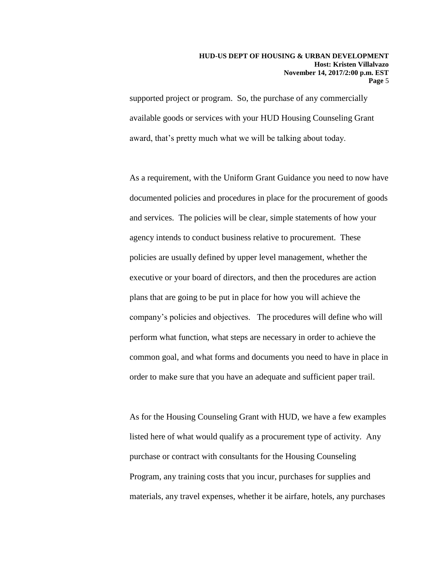supported project or program. So, the purchase of any commercially available goods or services with your HUD Housing Counseling Grant award, that's pretty much what we will be talking about today.

As a requirement, with the Uniform Grant Guidance you need to now have documented policies and procedures in place for the procurement of goods and services. The policies will be clear, simple statements of how your agency intends to conduct business relative to procurement. These policies are usually defined by upper level management, whether the executive or your board of directors, and then the procedures are action plans that are going to be put in place for how you will achieve the company's policies and objectives. The procedures will define who will perform what function, what steps are necessary in order to achieve the common goal, and what forms and documents you need to have in place in order to make sure that you have an adequate and sufficient paper trail.

As for the Housing Counseling Grant with HUD, we have a few examples listed here of what would qualify as a procurement type of activity. Any purchase or contract with consultants for the Housing Counseling Program, any training costs that you incur, purchases for supplies and materials, any travel expenses, whether it be airfare, hotels, any purchases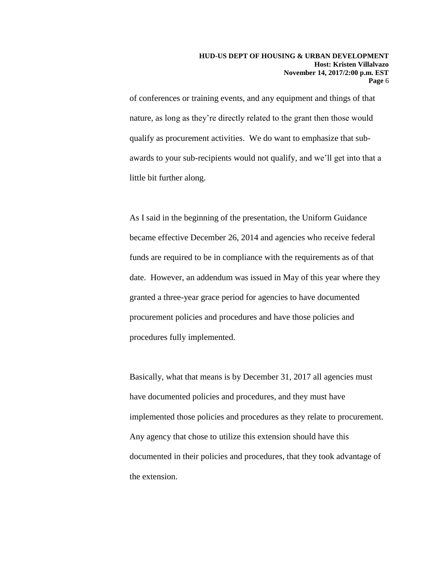of conferences or training events, and any equipment and things of that nature, as long as they're directly related to the grant then those would qualify as procurement activities. We do want to emphasize that subawards to your sub-recipients would not qualify, and we'll get into that a little bit further along.

As I said in the beginning of the presentation, the Uniform Guidance became effective December 26, 2014 and agencies who receive federal funds are required to be in compliance with the requirements as of that date. However, an addendum was issued in May of this year where they granted a three-year grace period for agencies to have documented procurement policies and procedures and have those policies and procedures fully implemented.

Basically, what that means is by December 31, 2017 all agencies must have documented policies and procedures, and they must have implemented those policies and procedures as they relate to procurement. Any agency that chose to utilize this extension should have this documented in their policies and procedures, that they took advantage of the extension.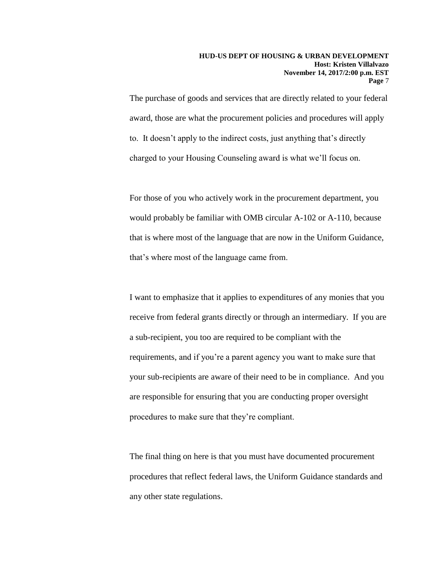The purchase of goods and services that are directly related to your federal award, those are what the procurement policies and procedures will apply to. It doesn't apply to the indirect costs, just anything that's directly charged to your Housing Counseling award is what we'll focus on.

For those of you who actively work in the procurement department, you would probably be familiar with OMB circular A-102 or A-110, because that is where most of the language that are now in the Uniform Guidance, that's where most of the language came from.

I want to emphasize that it applies to expenditures of any monies that you receive from federal grants directly or through an intermediary. If you are a sub-recipient, you too are required to be compliant with the requirements, and if you're a parent agency you want to make sure that your sub-recipients are aware of their need to be in compliance. And you are responsible for ensuring that you are conducting proper oversight procedures to make sure that they're compliant.

The final thing on here is that you must have documented procurement procedures that reflect federal laws, the Uniform Guidance standards and any other state regulations.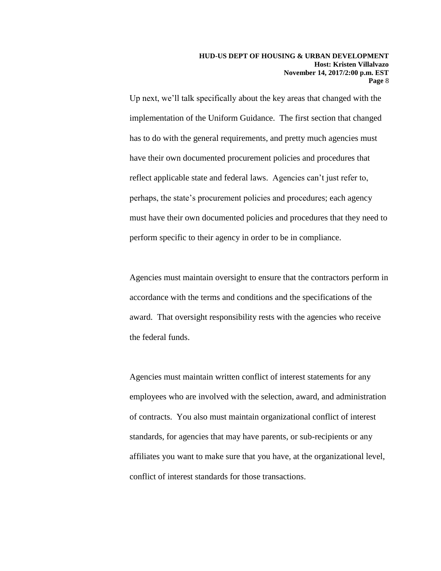Up next, we'll talk specifically about the key areas that changed with the implementation of the Uniform Guidance. The first section that changed has to do with the general requirements, and pretty much agencies must have their own documented procurement policies and procedures that reflect applicable state and federal laws. Agencies can't just refer to, perhaps, the state's procurement policies and procedures; each agency must have their own documented policies and procedures that they need to perform specific to their agency in order to be in compliance.

Agencies must maintain oversight to ensure that the contractors perform in accordance with the terms and conditions and the specifications of the award. That oversight responsibility rests with the agencies who receive the federal funds.

Agencies must maintain written conflict of interest statements for any employees who are involved with the selection, award, and administration of contracts. You also must maintain organizational conflict of interest standards, for agencies that may have parents, or sub-recipients or any affiliates you want to make sure that you have, at the organizational level, conflict of interest standards for those transactions.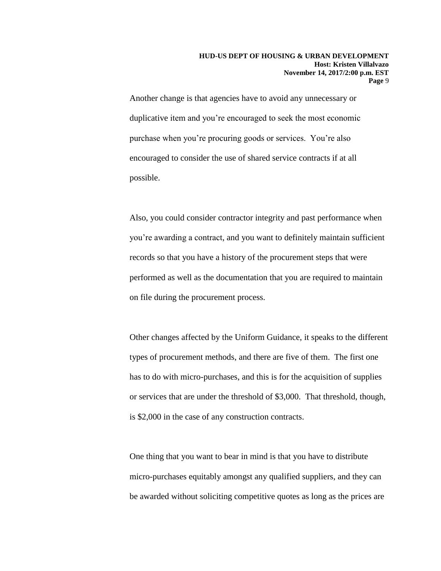Another change is that agencies have to avoid any unnecessary or duplicative item and you're encouraged to seek the most economic purchase when you're procuring goods or services. You're also encouraged to consider the use of shared service contracts if at all possible.

Also, you could consider contractor integrity and past performance when you're awarding a contract, and you want to definitely maintain sufficient records so that you have a history of the procurement steps that were performed as well as the documentation that you are required to maintain on file during the procurement process.

Other changes affected by the Uniform Guidance, it speaks to the different types of procurement methods, and there are five of them. The first one has to do with micro-purchases, and this is for the acquisition of supplies or services that are under the threshold of \$3,000. That threshold, though, is \$2,000 in the case of any construction contracts.

One thing that you want to bear in mind is that you have to distribute micro-purchases equitably amongst any qualified suppliers, and they can be awarded without soliciting competitive quotes as long as the prices are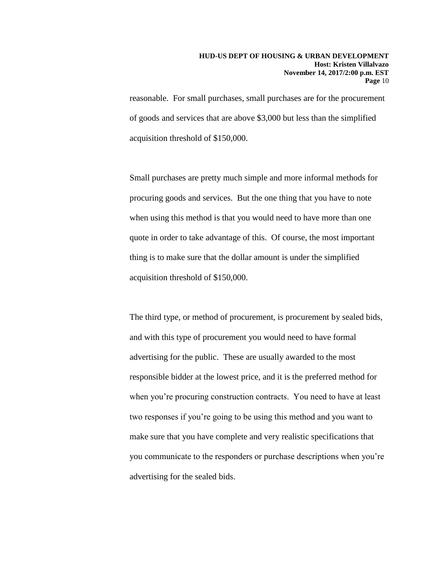reasonable. For small purchases, small purchases are for the procurement of goods and services that are above \$3,000 but less than the simplified acquisition threshold of \$150,000.

Small purchases are pretty much simple and more informal methods for procuring goods and services. But the one thing that you have to note when using this method is that you would need to have more than one quote in order to take advantage of this. Of course, the most important thing is to make sure that the dollar amount is under the simplified acquisition threshold of \$150,000.

The third type, or method of procurement, is procurement by sealed bids, and with this type of procurement you would need to have formal advertising for the public. These are usually awarded to the most responsible bidder at the lowest price, and it is the preferred method for when you're procuring construction contracts. You need to have at least two responses if you're going to be using this method and you want to make sure that you have complete and very realistic specifications that you communicate to the responders or purchase descriptions when you're advertising for the sealed bids.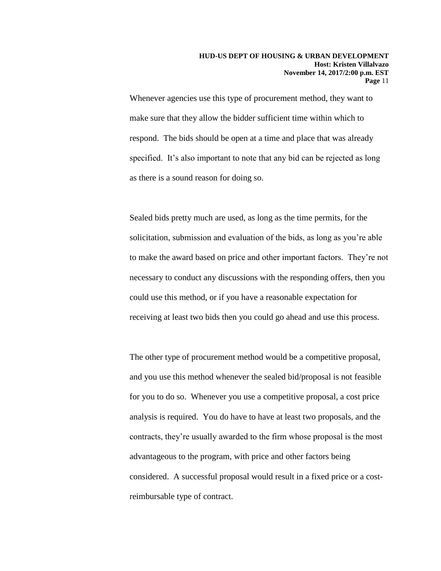Whenever agencies use this type of procurement method, they want to make sure that they allow the bidder sufficient time within which to respond. The bids should be open at a time and place that was already specified. It's also important to note that any bid can be rejected as long as there is a sound reason for doing so.

Sealed bids pretty much are used, as long as the time permits, for the solicitation, submission and evaluation of the bids, as long as you're able to make the award based on price and other important factors. They're not necessary to conduct any discussions with the responding offers, then you could use this method, or if you have a reasonable expectation for receiving at least two bids then you could go ahead and use this process.

The other type of procurement method would be a competitive proposal, and you use this method whenever the sealed bid/proposal is not feasible for you to do so. Whenever you use a competitive proposal, a cost price analysis is required. You do have to have at least two proposals, and the contracts, they're usually awarded to the firm whose proposal is the most advantageous to the program, with price and other factors being considered. A successful proposal would result in a fixed price or a costreimbursable type of contract.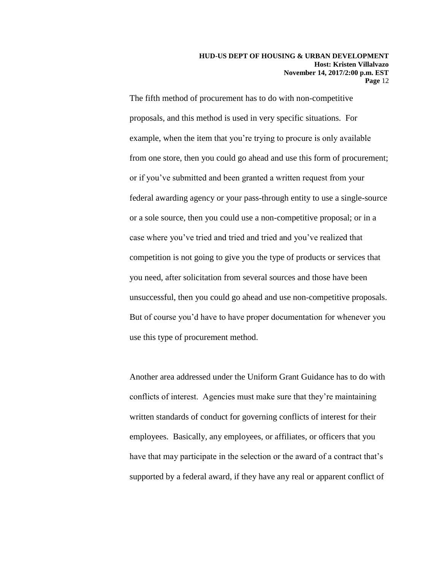The fifth method of procurement has to do with non-competitive proposals, and this method is used in very specific situations. For example, when the item that you're trying to procure is only available from one store, then you could go ahead and use this form of procurement; or if you've submitted and been granted a written request from your federal awarding agency or your pass-through entity to use a single-source or a sole source, then you could use a non-competitive proposal; or in a case where you've tried and tried and tried and you've realized that competition is not going to give you the type of products or services that you need, after solicitation from several sources and those have been unsuccessful, then you could go ahead and use non-competitive proposals. But of course you'd have to have proper documentation for whenever you use this type of procurement method.

Another area addressed under the Uniform Grant Guidance has to do with conflicts of interest. Agencies must make sure that they're maintaining written standards of conduct for governing conflicts of interest for their employees. Basically, any employees, or affiliates, or officers that you have that may participate in the selection or the award of a contract that's supported by a federal award, if they have any real or apparent conflict of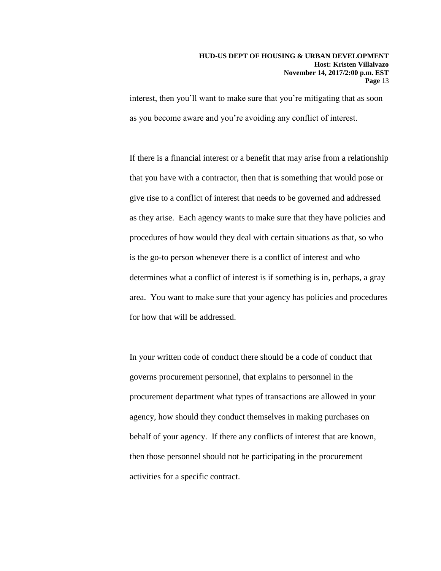#### **HUD-US DEPT OF HOUSING & URBAN DEVELOPMENT Host: Kristen Villalvazo November 14, 2017/2:00 p.m. EST Page** 13

interest, then you'll want to make sure that you're mitigating that as soon as you become aware and you're avoiding any conflict of interest.

If there is a financial interest or a benefit that may arise from a relationship that you have with a contractor, then that is something that would pose or give rise to a conflict of interest that needs to be governed and addressed as they arise. Each agency wants to make sure that they have policies and procedures of how would they deal with certain situations as that, so who is the go-to person whenever there is a conflict of interest and who determines what a conflict of interest is if something is in, perhaps, a gray area. You want to make sure that your agency has policies and procedures for how that will be addressed.

In your written code of conduct there should be a code of conduct that governs procurement personnel, that explains to personnel in the procurement department what types of transactions are allowed in your agency, how should they conduct themselves in making purchases on behalf of your agency. If there any conflicts of interest that are known, then those personnel should not be participating in the procurement activities for a specific contract.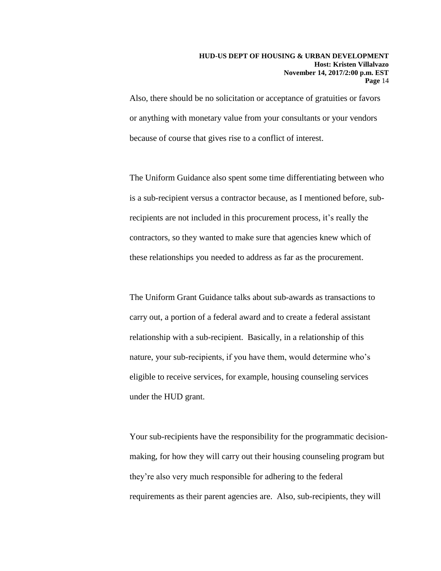Also, there should be no solicitation or acceptance of gratuities or favors or anything with monetary value from your consultants or your vendors because of course that gives rise to a conflict of interest.

The Uniform Guidance also spent some time differentiating between who is a sub-recipient versus a contractor because, as I mentioned before, subrecipients are not included in this procurement process, it's really the contractors, so they wanted to make sure that agencies knew which of these relationships you needed to address as far as the procurement.

The Uniform Grant Guidance talks about sub-awards as transactions to carry out, a portion of a federal award and to create a federal assistant relationship with a sub-recipient. Basically, in a relationship of this nature, your sub-recipients, if you have them, would determine who's eligible to receive services, for example, housing counseling services under the HUD grant.

Your sub-recipients have the responsibility for the programmatic decisionmaking, for how they will carry out their housing counseling program but they're also very much responsible for adhering to the federal requirements as their parent agencies are. Also, sub-recipients, they will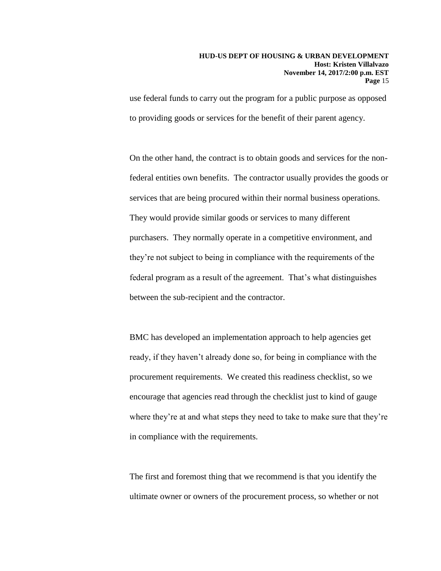#### **HUD-US DEPT OF HOUSING & URBAN DEVELOPMENT Host: Kristen Villalvazo November 14, 2017/2:00 p.m. EST Page** 15

use federal funds to carry out the program for a public purpose as opposed to providing goods or services for the benefit of their parent agency.

On the other hand, the contract is to obtain goods and services for the nonfederal entities own benefits. The contractor usually provides the goods or services that are being procured within their normal business operations. They would provide similar goods or services to many different purchasers. They normally operate in a competitive environment, and they're not subject to being in compliance with the requirements of the federal program as a result of the agreement. That's what distinguishes between the sub-recipient and the contractor.

BMC has developed an implementation approach to help agencies get ready, if they haven't already done so, for being in compliance with the procurement requirements. We created this readiness checklist, so we encourage that agencies read through the checklist just to kind of gauge where they're at and what steps they need to take to make sure that they're in compliance with the requirements.

The first and foremost thing that we recommend is that you identify the ultimate owner or owners of the procurement process, so whether or not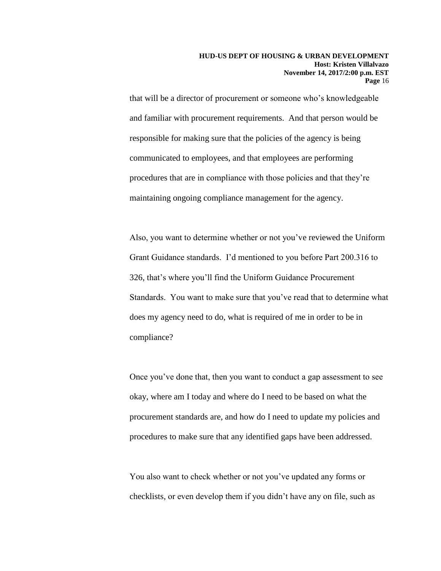that will be a director of procurement or someone who's knowledgeable and familiar with procurement requirements. And that person would be responsible for making sure that the policies of the agency is being communicated to employees, and that employees are performing procedures that are in compliance with those policies and that they're maintaining ongoing compliance management for the agency.

Also, you want to determine whether or not you've reviewed the Uniform Grant Guidance standards. I'd mentioned to you before Part 200.316 to 326, that's where you'll find the Uniform Guidance Procurement Standards. You want to make sure that you've read that to determine what does my agency need to do, what is required of me in order to be in compliance?

Once you've done that, then you want to conduct a gap assessment to see okay, where am I today and where do I need to be based on what the procurement standards are, and how do I need to update my policies and procedures to make sure that any identified gaps have been addressed.

You also want to check whether or not you've updated any forms or checklists, or even develop them if you didn't have any on file, such as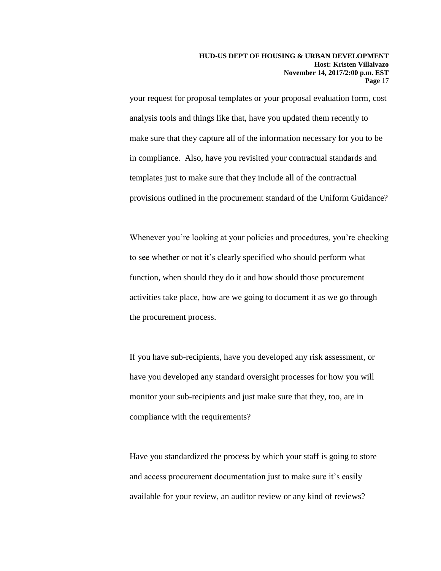your request for proposal templates or your proposal evaluation form, cost analysis tools and things like that, have you updated them recently to make sure that they capture all of the information necessary for you to be in compliance. Also, have you revisited your contractual standards and templates just to make sure that they include all of the contractual provisions outlined in the procurement standard of the Uniform Guidance?

Whenever you're looking at your policies and procedures, you're checking to see whether or not it's clearly specified who should perform what function, when should they do it and how should those procurement activities take place, how are we going to document it as we go through the procurement process.

If you have sub-recipients, have you developed any risk assessment, or have you developed any standard oversight processes for how you will monitor your sub-recipients and just make sure that they, too, are in compliance with the requirements?

Have you standardized the process by which your staff is going to store and access procurement documentation just to make sure it's easily available for your review, an auditor review or any kind of reviews?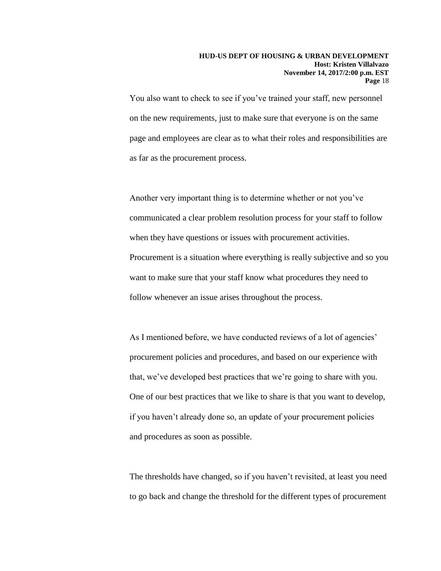You also want to check to see if you've trained your staff, new personnel on the new requirements, just to make sure that everyone is on the same page and employees are clear as to what their roles and responsibilities are as far as the procurement process.

Another very important thing is to determine whether or not you've communicated a clear problem resolution process for your staff to follow when they have questions or issues with procurement activities. Procurement is a situation where everything is really subjective and so you want to make sure that your staff know what procedures they need to follow whenever an issue arises throughout the process.

As I mentioned before, we have conducted reviews of a lot of agencies' procurement policies and procedures, and based on our experience with that, we've developed best practices that we're going to share with you. One of our best practices that we like to share is that you want to develop, if you haven't already done so, an update of your procurement policies and procedures as soon as possible.

The thresholds have changed, so if you haven't revisited, at least you need to go back and change the threshold for the different types of procurement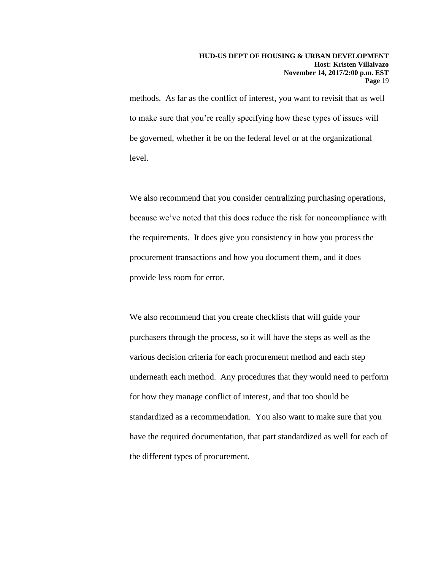methods. As far as the conflict of interest, you want to revisit that as well to make sure that you're really specifying how these types of issues will be governed, whether it be on the federal level or at the organizational level.

We also recommend that you consider centralizing purchasing operations, because we've noted that this does reduce the risk for noncompliance with the requirements. It does give you consistency in how you process the procurement transactions and how you document them, and it does provide less room for error.

We also recommend that you create checklists that will guide your purchasers through the process, so it will have the steps as well as the various decision criteria for each procurement method and each step underneath each method. Any procedures that they would need to perform for how they manage conflict of interest, and that too should be standardized as a recommendation. You also want to make sure that you have the required documentation, that part standardized as well for each of the different types of procurement.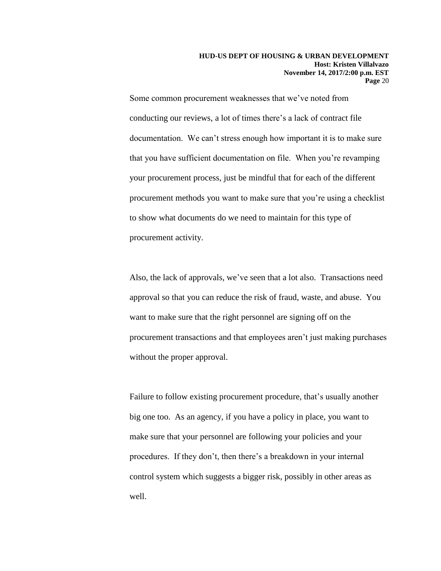Some common procurement weaknesses that we've noted from conducting our reviews, a lot of times there's a lack of contract file documentation. We can't stress enough how important it is to make sure that you have sufficient documentation on file. When you're revamping your procurement process, just be mindful that for each of the different procurement methods you want to make sure that you're using a checklist to show what documents do we need to maintain for this type of procurement activity.

Also, the lack of approvals, we've seen that a lot also. Transactions need approval so that you can reduce the risk of fraud, waste, and abuse. You want to make sure that the right personnel are signing off on the procurement transactions and that employees aren't just making purchases without the proper approval.

Failure to follow existing procurement procedure, that's usually another big one too. As an agency, if you have a policy in place, you want to make sure that your personnel are following your policies and your procedures. If they don't, then there's a breakdown in your internal control system which suggests a bigger risk, possibly in other areas as well.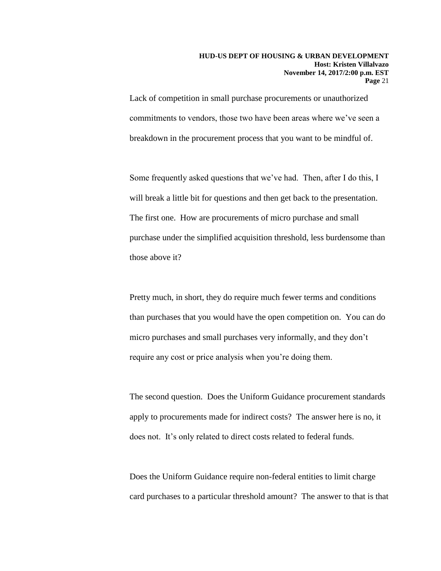Lack of competition in small purchase procurements or unauthorized commitments to vendors, those two have been areas where we've seen a breakdown in the procurement process that you want to be mindful of.

Some frequently asked questions that we've had. Then, after I do this, I will break a little bit for questions and then get back to the presentation. The first one. How are procurements of micro purchase and small purchase under the simplified acquisition threshold, less burdensome than those above it?

Pretty much, in short, they do require much fewer terms and conditions than purchases that you would have the open competition on. You can do micro purchases and small purchases very informally, and they don't require any cost or price analysis when you're doing them.

The second question. Does the Uniform Guidance procurement standards apply to procurements made for indirect costs? The answer here is no, it does not. It's only related to direct costs related to federal funds.

Does the Uniform Guidance require non-federal entities to limit charge card purchases to a particular threshold amount? The answer to that is that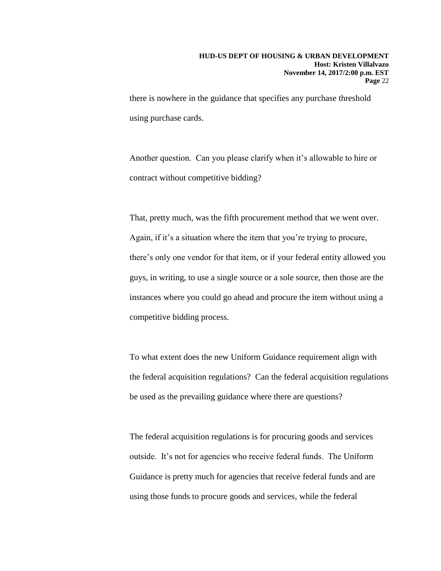there is nowhere in the guidance that specifies any purchase threshold using purchase cards.

Another question. Can you please clarify when it's allowable to hire or contract without competitive bidding?

That, pretty much, was the fifth procurement method that we went over. Again, if it's a situation where the item that you're trying to procure, there's only one vendor for that item, or if your federal entity allowed you guys, in writing, to use a single source or a sole source, then those are the instances where you could go ahead and procure the item without using a competitive bidding process.

To what extent does the new Uniform Guidance requirement align with the federal acquisition regulations? Can the federal acquisition regulations be used as the prevailing guidance where there are questions?

The federal acquisition regulations is for procuring goods and services outside. It's not for agencies who receive federal funds. The Uniform Guidance is pretty much for agencies that receive federal funds and are using those funds to procure goods and services, while the federal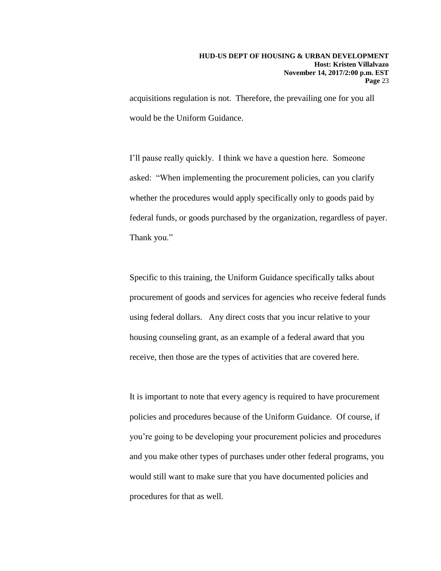acquisitions regulation is not. Therefore, the prevailing one for you all would be the Uniform Guidance.

I'll pause really quickly. I think we have a question here. Someone asked: "When implementing the procurement policies, can you clarify whether the procedures would apply specifically only to goods paid by federal funds, or goods purchased by the organization, regardless of payer. Thank you."

Specific to this training, the Uniform Guidance specifically talks about procurement of goods and services for agencies who receive federal funds using federal dollars. Any direct costs that you incur relative to your housing counseling grant, as an example of a federal award that you receive, then those are the types of activities that are covered here.

It is important to note that every agency is required to have procurement policies and procedures because of the Uniform Guidance. Of course, if you're going to be developing your procurement policies and procedures and you make other types of purchases under other federal programs, you would still want to make sure that you have documented policies and procedures for that as well.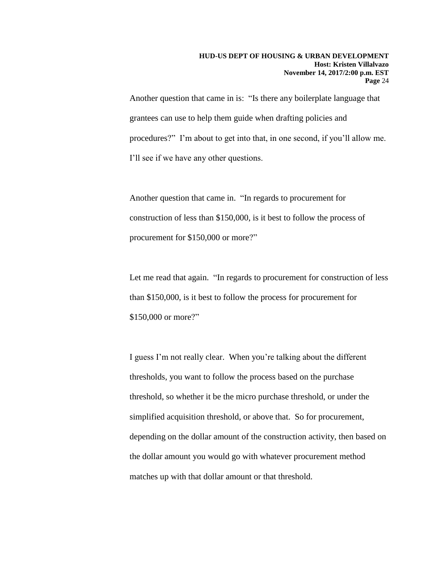Another question that came in is: "Is there any boilerplate language that grantees can use to help them guide when drafting policies and procedures?" I'm about to get into that, in one second, if you'll allow me. I'll see if we have any other questions.

Another question that came in. "In regards to procurement for construction of less than \$150,000, is it best to follow the process of procurement for \$150,000 or more?"

Let me read that again. "In regards to procurement for construction of less than \$150,000, is it best to follow the process for procurement for \$150,000 or more?"

I guess I'm not really clear. When you're talking about the different thresholds, you want to follow the process based on the purchase threshold, so whether it be the micro purchase threshold, or under the simplified acquisition threshold, or above that. So for procurement, depending on the dollar amount of the construction activity, then based on the dollar amount you would go with whatever procurement method matches up with that dollar amount or that threshold.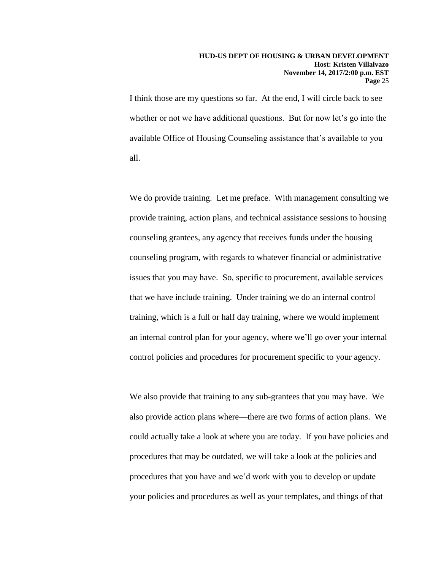I think those are my questions so far. At the end, I will circle back to see whether or not we have additional questions. But for now let's go into the available Office of Housing Counseling assistance that's available to you all.

We do provide training. Let me preface. With management consulting we provide training, action plans, and technical assistance sessions to housing counseling grantees, any agency that receives funds under the housing counseling program, with regards to whatever financial or administrative issues that you may have. So, specific to procurement, available services that we have include training. Under training we do an internal control training, which is a full or half day training, where we would implement an internal control plan for your agency, where we'll go over your internal control policies and procedures for procurement specific to your agency.

We also provide that training to any sub-grantees that you may have. We also provide action plans where—there are two forms of action plans. We could actually take a look at where you are today. If you have policies and procedures that may be outdated, we will take a look at the policies and procedures that you have and we'd work with you to develop or update your policies and procedures as well as your templates, and things of that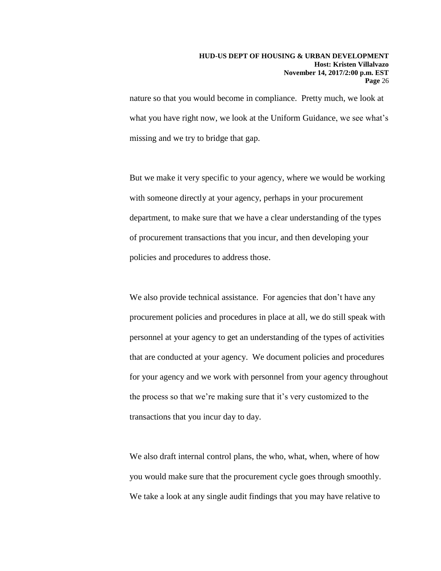nature so that you would become in compliance. Pretty much, we look at what you have right now, we look at the Uniform Guidance, we see what's missing and we try to bridge that gap.

But we make it very specific to your agency, where we would be working with someone directly at your agency, perhaps in your procurement department, to make sure that we have a clear understanding of the types of procurement transactions that you incur, and then developing your policies and procedures to address those.

We also provide technical assistance. For agencies that don't have any procurement policies and procedures in place at all, we do still speak with personnel at your agency to get an understanding of the types of activities that are conducted at your agency. We document policies and procedures for your agency and we work with personnel from your agency throughout the process so that we're making sure that it's very customized to the transactions that you incur day to day.

We also draft internal control plans, the who, what, when, where of how you would make sure that the procurement cycle goes through smoothly. We take a look at any single audit findings that you may have relative to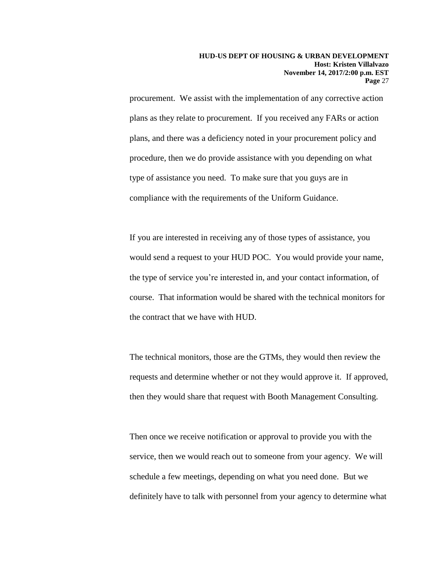procurement. We assist with the implementation of any corrective action plans as they relate to procurement. If you received any FARs or action plans, and there was a deficiency noted in your procurement policy and procedure, then we do provide assistance with you depending on what type of assistance you need. To make sure that you guys are in compliance with the requirements of the Uniform Guidance.

If you are interested in receiving any of those types of assistance, you would send a request to your HUD POC. You would provide your name, the type of service you're interested in, and your contact information, of course. That information would be shared with the technical monitors for the contract that we have with HUD.

The technical monitors, those are the GTMs, they would then review the requests and determine whether or not they would approve it. If approved, then they would share that request with Booth Management Consulting.

Then once we receive notification or approval to provide you with the service, then we would reach out to someone from your agency. We will schedule a few meetings, depending on what you need done. But we definitely have to talk with personnel from your agency to determine what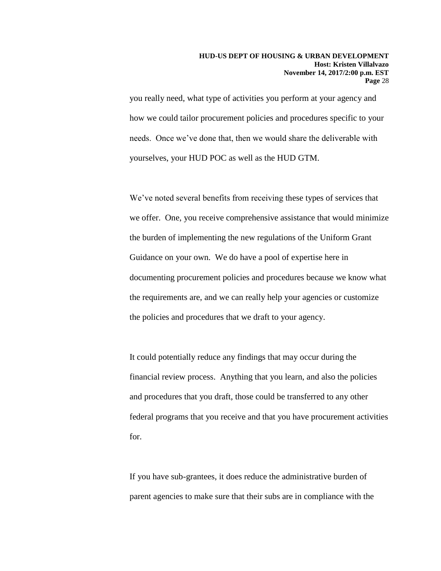you really need, what type of activities you perform at your agency and how we could tailor procurement policies and procedures specific to your needs. Once we've done that, then we would share the deliverable with yourselves, your HUD POC as well as the HUD GTM.

We've noted several benefits from receiving these types of services that we offer. One, you receive comprehensive assistance that would minimize the burden of implementing the new regulations of the Uniform Grant Guidance on your own. We do have a pool of expertise here in documenting procurement policies and procedures because we know what the requirements are, and we can really help your agencies or customize the policies and procedures that we draft to your agency.

It could potentially reduce any findings that may occur during the financial review process. Anything that you learn, and also the policies and procedures that you draft, those could be transferred to any other federal programs that you receive and that you have procurement activities for.

If you have sub-grantees, it does reduce the administrative burden of parent agencies to make sure that their subs are in compliance with the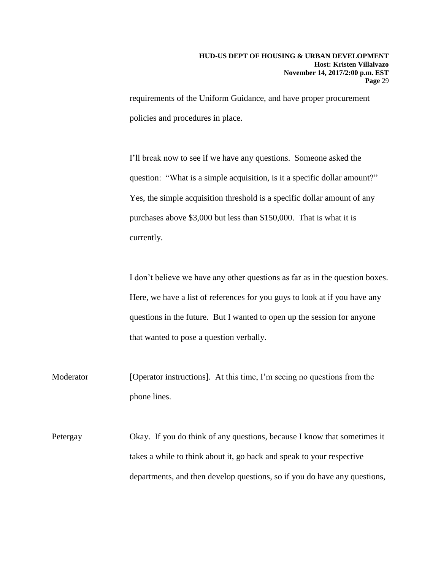requirements of the Uniform Guidance, and have proper procurement policies and procedures in place.

I'll break now to see if we have any questions. Someone asked the question: "What is a simple acquisition, is it a specific dollar amount?" Yes, the simple acquisition threshold is a specific dollar amount of any purchases above \$3,000 but less than \$150,000. That is what it is currently.

I don't believe we have any other questions as far as in the question boxes. Here, we have a list of references for you guys to look at if you have any questions in the future. But I wanted to open up the session for anyone that wanted to pose a question verbally.

Moderator [Operator instructions]. At this time, I'm seeing no questions from the phone lines.

Petergay Okay. If you do think of any questions, because I know that sometimes it takes a while to think about it, go back and speak to your respective departments, and then develop questions, so if you do have any questions,